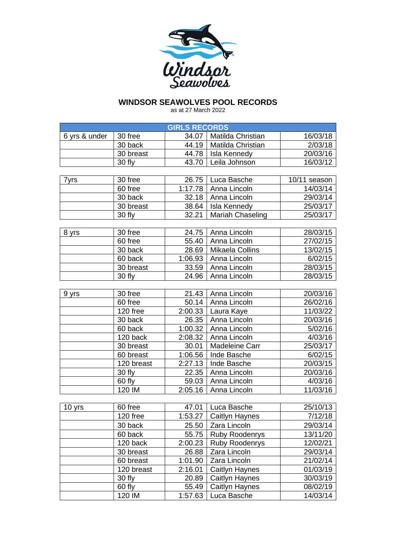

## **WINDSOR SEAWOLVES POOL RECORDS**

as at 27 March 2022

| Matilda Christian<br>30 free<br>34.07<br>16/03/18<br>6 yrs & under<br>44.19<br>Matilda Christian<br>2/03/18<br>30 back<br>20/03/16<br>30 breast<br>44.78<br>Isla Kennedy<br>Leila Johnson<br>43.70<br>30 fly<br>16/03/12 |  |
|--------------------------------------------------------------------------------------------------------------------------------------------------------------------------------------------------------------------------|--|
|                                                                                                                                                                                                                          |  |
|                                                                                                                                                                                                                          |  |
|                                                                                                                                                                                                                          |  |
|                                                                                                                                                                                                                          |  |
|                                                                                                                                                                                                                          |  |
| 30 free<br>26.75<br>Luca Basche<br>10/11 season<br>7yrs                                                                                                                                                                  |  |
| 1:17.78<br>60 free<br>14/03/14<br>Anna Lincoln                                                                                                                                                                           |  |
| 30 back<br>32.18<br>Anna Lincoln<br>29/03/14                                                                                                                                                                             |  |
| 30 breast<br>38.64<br>Isla Kennedy<br>25/03/17                                                                                                                                                                           |  |
| 32.21<br><b>Mariah Chaseling</b><br>25/03/17<br>30 fly                                                                                                                                                                   |  |
|                                                                                                                                                                                                                          |  |
| $30$ free<br>24.75<br>Anna Lincoln<br>28/03/15<br>8 yrs                                                                                                                                                                  |  |
| 60 free<br>55.40<br>27/02/15<br>Anna Lincoln                                                                                                                                                                             |  |
| Mikaela Collins<br>30 back<br>28.69<br>13/02/15                                                                                                                                                                          |  |
| 6/02/15<br>60 back<br>1:06.93<br>Anna Lincoln                                                                                                                                                                            |  |
| 33.59<br>Anna Lincoln<br>28/03/15<br>30 breast                                                                                                                                                                           |  |
| 30 fly<br>24.96<br>28/03/15<br>Anna Lincoln                                                                                                                                                                              |  |
|                                                                                                                                                                                                                          |  |
| 30 free<br>21.43<br>Anna Lincoln<br>20/03/16<br>9 yrs                                                                                                                                                                    |  |
| 60 free<br>50.14<br>26/02/16<br>Anna Lincoln                                                                                                                                                                             |  |
| 2:00.33<br>120 free<br>11/03/22<br>Laura Kaye                                                                                                                                                                            |  |
| 26.35<br>30 back<br>20/03/16<br>Anna Lincoln                                                                                                                                                                             |  |
| 60 back<br>1:00.32<br>5/02/16<br>Anna Lincoln                                                                                                                                                                            |  |
| 4/03/16<br>120 back<br>2:08.32<br>Anna Lincoln                                                                                                                                                                           |  |
| 30 breast<br>Madeleine Carr<br>25/03/17<br>30.01                                                                                                                                                                         |  |
| 6/02/15<br>1:06.56<br>Inde Basche<br>60 breast                                                                                                                                                                           |  |
| 120 breast<br>2:27.13<br>Inde Basche<br>20/03/15                                                                                                                                                                         |  |
| 30 fly<br>22.35<br>20/03/16<br>Anna Lincoln                                                                                                                                                                              |  |
| 60 fly<br>4/03/16<br>59.03<br>Anna Lincoln                                                                                                                                                                               |  |
| 120 IM<br>2:05.16<br>Anna Lincoln<br>11/03/16                                                                                                                                                                            |  |
|                                                                                                                                                                                                                          |  |
| 60 free<br>47.01<br>Luca Basche<br>25/10/13<br>10 yrs                                                                                                                                                                    |  |
| 1:53.27<br>7/12/18<br>120 free<br><b>Caitlyn Haynes</b>                                                                                                                                                                  |  |
| 30 back<br>29/03/14<br>Zara Lincoln<br>25.50                                                                                                                                                                             |  |
| 60 back<br>55.75<br><b>Ruby Roodenrys</b><br>13/11/20                                                                                                                                                                    |  |
| 2:00.23<br>120 back<br>Ruby Roodenrys<br>12/02/21                                                                                                                                                                        |  |
| 30 breast<br>26.88<br>Zara Lincoln<br>29/03/14                                                                                                                                                                           |  |
| 60 breast<br>1:01.90<br>Zara Lincoln<br>21/02/14                                                                                                                                                                         |  |
| 120 breast<br>2:16.01<br>Caitlyn Haynes<br>01/03/19                                                                                                                                                                      |  |
| 30 fly<br>Caitlyn Haynes<br>30/03/19<br>20.89                                                                                                                                                                            |  |
| 60 fly<br>Caitlyn Haynes<br>55.49<br>08/02/19                                                                                                                                                                            |  |
| 120 IM<br>1:57.63<br>Luca Basche<br>14/03/14                                                                                                                                                                             |  |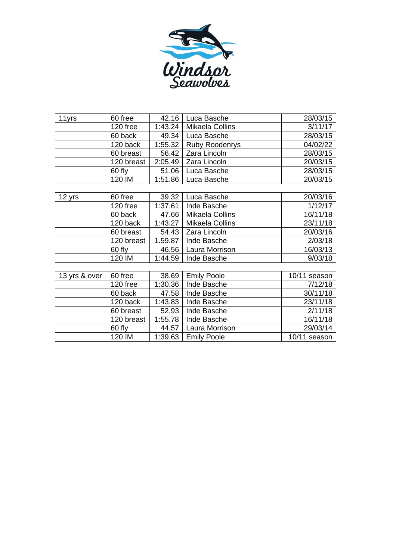

| 11yrs  | 60 free    | 42.16   | Luca Basche            | 28/03/15 |
|--------|------------|---------|------------------------|----------|
|        | 120 free   | 1:43.24 | <b>Mikaela Collins</b> | 3/11/17  |
|        | 60 back    | 49.34   | Luca Basche            | 28/03/15 |
|        | 120 back   | 1:55.32 | <b>Ruby Roodenrys</b>  | 04/02/22 |
|        | 60 breast  | 56.42   | Zara Lincoln           | 28/03/15 |
|        | 120 breast | 2:05.49 | Zara Lincoln           | 20/03/15 |
|        | 60 fly     | 51.06   | Luca Basche            | 28/03/15 |
|        | 120 IM     | 1:51.86 | Luca Basche            | 20/03/15 |
|        |            |         |                        |          |
| 12 yrs | 60 free    | 39.32   | Luca Basche            | 20/03/16 |
|        | 120 free   | 1:37.61 | Inde Basche            | 1/12/17  |
|        | 60 back    | 47.66   | Mikaela Collins        | 16/11/18 |
|        | 120 back   | 1:43.27 | Mikaela Collins        | 23/11/18 |
|        | 60 breast  | 54.43   | Zara Lincoln           | 20/03/16 |
|        | 120 breast | 1.59.87 | Inde Basche            | 2/03/18  |
|        | 60 fly     | 46.56   | Laura Morrison         | 16/03/13 |
|        | 120 IM     | 1:44.59 | Inde Basche            | 9/03/18  |
|        |            |         |                        |          |

| 13 yrs & over | 60 free    | 38.69   | <b>Emily Poole</b>    | 10/11 season |
|---------------|------------|---------|-----------------------|--------------|
|               | 120 free   | 1:30.36 | Inde Basche           | 7/12/18      |
|               | 60 back    | 47.58   | Inde Basche           | 30/11/18     |
|               | 120 back   | 1:43.83 | Inde Basche           | 23/11/18     |
|               | 60 breast  | 52.93   | Inde Basche           | 2/11/18      |
|               | 120 breast | 1:55.78 | Inde Basche           | 16/11/18     |
|               | 60 fly     | 44.57   | Laura Morrison        | 29/03/14     |
|               | 120 IM     |         | $1:39.63$ Emily Poole | 10/11 season |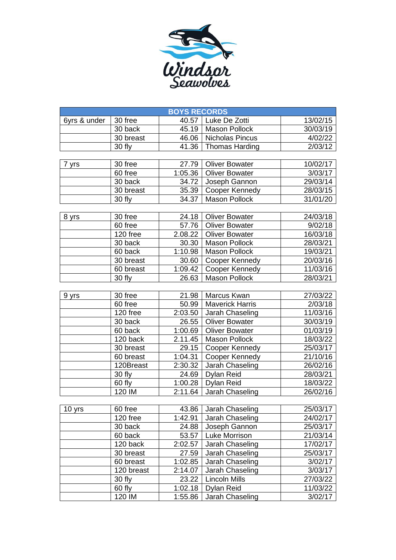

| <b>BOYS RECORDS</b> |                       |         |                         |          |  |  |
|---------------------|-----------------------|---------|-------------------------|----------|--|--|
| 6yrs & under        | 30 free               | 40.57   | Luke De Zotti           | 13/02/15 |  |  |
|                     | 30 back               |         | 45.19   Mason Pollock   | 30/03/19 |  |  |
|                     | 30 breast             |         | 46.06   Nicholas Pincus | 4/02/22  |  |  |
|                     | 30 fly                |         | 41.36   Thomas Harding  | 2/03/12  |  |  |
|                     |                       |         |                         |          |  |  |
| 7 yrs               | 30 free               | 27.79   | <b>Oliver Bowater</b>   | 10/02/17 |  |  |
|                     | 60 free               | 1:05.36 | <b>Oliver Bowater</b>   | 3/03/17  |  |  |
|                     | 30 back               | 34.72   | Joseph Gannon           | 29/03/14 |  |  |
|                     | 30 breast             | 35.39   | Cooper Kennedy          | 28/03/15 |  |  |
|                     | 30 fly                | 34.37   | <b>Mason Pollock</b>    | 31/01/20 |  |  |
|                     |                       |         |                         |          |  |  |
| 8 yrs               | 30 free               |         | 24.18   Oliver Bowater  | 24/03/18 |  |  |
|                     | 60 free               |         | 57.76   Oliver Bowater  | 9/02/18  |  |  |
|                     | 120 free              | 2.08.22 | <b>Oliver Bowater</b>   | 16/03/18 |  |  |
|                     | 30 back               | 30.30   | <b>Mason Pollock</b>    | 28/03/21 |  |  |
|                     | 60 back               | 1:10.98 | <b>Mason Pollock</b>    | 19/03/21 |  |  |
|                     | 30 breast             | 30.60   | Cooper Kennedy          | 20/03/16 |  |  |
|                     | 60 breast             | 1:09.42 | Cooper Kennedy          | 11/03/16 |  |  |
|                     | 30 fly                | 26.63   | <b>Mason Pollock</b>    | 28/03/21 |  |  |
|                     |                       |         |                         |          |  |  |
| 9 yrs               | 30 free               |         | 21.98   Marcus Kwan     | 27/03/22 |  |  |
|                     | 60 free               | 50.99   | <b>Maverick Harris</b>  | 2/03/18  |  |  |
|                     | 120 free              | 2:03.50 | Jarah Chaseling         | 11/03/16 |  |  |
|                     | 30 back               | 26.55   | <b>Oliver Bowater</b>   | 30/03/19 |  |  |
|                     | 60 back               | 1:00.69 | <b>Oliver Bowater</b>   | 01/03/19 |  |  |
|                     | $\overline{120}$ back | 2.11.45 | <b>Mason Pollock</b>    | 18/03/22 |  |  |
|                     | 30 breast             | 29.15   | Cooper Kennedy          | 25/03/17 |  |  |
|                     | 60 breast             | 1:04.31 | Cooper Kennedy          | 21/10/16 |  |  |
|                     | 120Breast             | 2:30.32 | Jarah Chaseling         | 26/02/16 |  |  |
|                     | 30 fly                | 24.69   | Dylan Reid              | 28/03/21 |  |  |
|                     | 60 fly                | 1:00.28 | <b>Dylan Reid</b>       | 18/03/22 |  |  |
|                     | 120 IM                | 2:11.64 | Jarah Chaseling         | 26/02/16 |  |  |
|                     |                       |         |                         |          |  |  |
| 10 yrs              | 60 free               | 43.86   | Jarah Chaseling         | 25/03/17 |  |  |
|                     | 120 free              | 1:42.91 | Jarah Chaseling         | 24/02/17 |  |  |
|                     | 30 back               | 24.88   | Joseph Gannon           | 25/03/17 |  |  |
|                     | 60 back               | 53.57   | Luke Morrison           | 21/03/14 |  |  |
|                     | 120 back              | 2:02.57 | Jarah Chaseling         | 17/02/17 |  |  |
|                     | 30 breast             | 27.59   | Jarah Chaseling         | 25/03/17 |  |  |
|                     | 60 breast             | 1:02.85 | Jarah Chaseling         | 3/02/17  |  |  |
|                     | 120 breast            | 2:14.07 | Jarah Chaseling         | 3/03/17  |  |  |
|                     | 30 fly                | 23.22   | <b>Lincoln Mills</b>    | 27/03/22 |  |  |
|                     | 60 fly                | 1:02.18 | <b>Dylan Reid</b>       | 11/03/22 |  |  |
|                     | 120 IM                | 1:55.86 | Jarah Chaseling         | 3/02/17  |  |  |